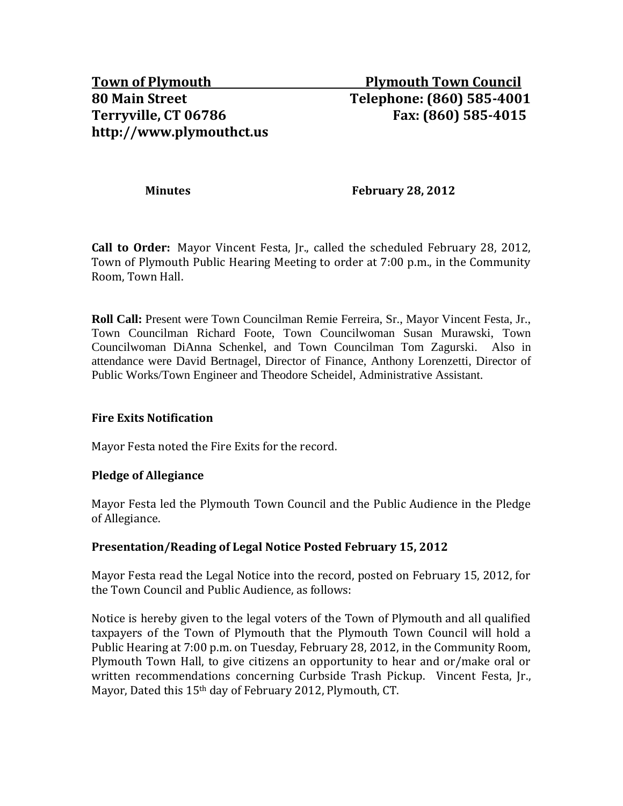**Minutes February 28, 2012** 

**Call to Order:** Mayor Vincent Festa, Jr., called the scheduled February 28, 2012, Town of Plymouth Public Hearing Meeting to order at 7:00 p.m., in the Community Room, Town Hall.

**Roll Call:** Present were Town Councilman Remie Ferreira, Sr., Mayor Vincent Festa, Jr., Town Councilman Richard Foote, Town Councilwoman Susan Murawski, Town Councilwoman DiAnna Schenkel, and Town Councilman Tom Zagurski. Also in attendance were David Bertnagel, Director of Finance, Anthony Lorenzetti, Director of Public Works/Town Engineer and Theodore Scheidel, Administrative Assistant.

# **Fire Exits Notification**

Mayor Festa noted the Fire Exits for the record.

#### **Pledge of Allegiance**

Mayor Festa led the Plymouth Town Council and the Public Audience in the Pledge of Allegiance.

# **Presentation/Reading of Legal Notice Posted February 15, 2012**

Mayor Festa read the Legal Notice into the record, posted on February 15, 2012, for the Town Council and Public Audience, as follows:

Notice is hereby given to the legal voters of the Town of Plymouth and all qualified taxpayers of the Town of Plymouth that the Plymouth Town Council will hold a Public Hearing at 7:00 p.m. on Tuesday, February 28, 2012, in the Community Room, Plymouth Town Hall, to give citizens an opportunity to hear and or/make oral or written recommendations concerning Curbside Trash Pickup. Vincent Festa, Jr., Mayor, Dated this 15th day of February 2012, Plymouth, CT.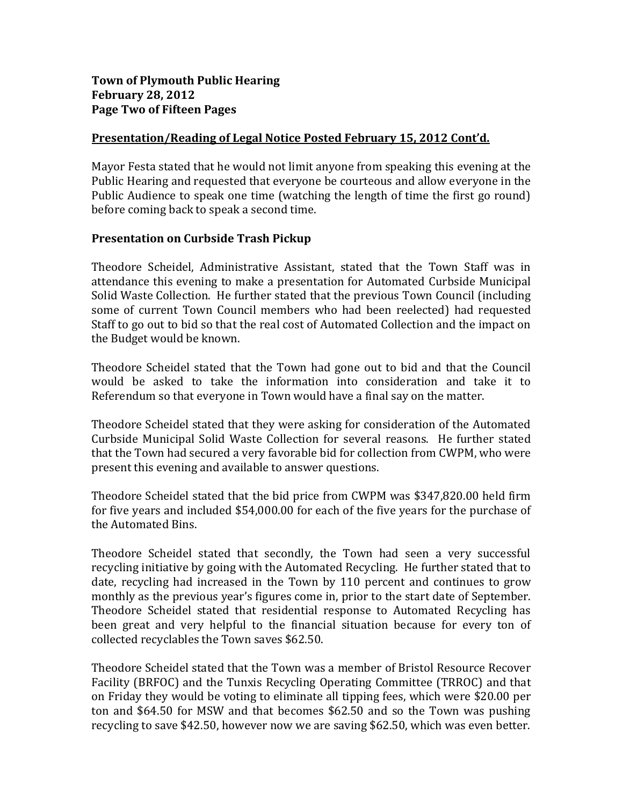# **Town of Plymouth Public Hearing February 28, 2012 Page Two of Fifteen Pages**

## **Presentation/Reading of Legal Notice Posted February 15, 2012 Cont'd.**

Mayor Festa stated that he would not limit anyone from speaking this evening at the Public Hearing and requested that everyone be courteous and allow everyone in the Public Audience to speak one time (watching the length of time the first go round) before coming back to speak a second time.

#### **Presentation on Curbside Trash Pickup**

Theodore Scheidel, Administrative Assistant, stated that the Town Staff was in attendance this evening to make a presentation for Automated Curbside Municipal Solid Waste Collection. He further stated that the previous Town Council (including some of current Town Council members who had been reelected) had requested Staff to go out to bid so that the real cost of Automated Collection and the impact on the Budget would be known.

Theodore Scheidel stated that the Town had gone out to bid and that the Council would be asked to take the information into consideration and take it to Referendum so that everyone in Town would have a final say on the matter.

Theodore Scheidel stated that they were asking for consideration of the Automated Curbside Municipal Solid Waste Collection for several reasons. He further stated that the Town had secured a very favorable bid for collection from CWPM, who were present this evening and available to answer questions.

Theodore Scheidel stated that the bid price from CWPM was \$347,820.00 held firm for five years and included \$54,000.00 for each of the five years for the purchase of the Automated Bins.

Theodore Scheidel stated that secondly, the Town had seen a very successful recycling initiative by going with the Automated Recycling. He further stated that to date, recycling had increased in the Town by 110 percent and continues to grow monthly as the previous year's figures come in, prior to the start date of September. Theodore Scheidel stated that residential response to Automated Recycling has been great and very helpful to the financial situation because for every ton of collected recyclables the Town saves \$62.50.

Theodore Scheidel stated that the Town was a member of Bristol Resource Recover Facility (BRFOC) and the Tunxis Recycling Operating Committee (TRROC) and that on Friday they would be voting to eliminate all tipping fees, which were \$20.00 per ton and \$64.50 for MSW and that becomes \$62.50 and so the Town was pushing recycling to save \$42.50, however now we are saving \$62.50, which was even better.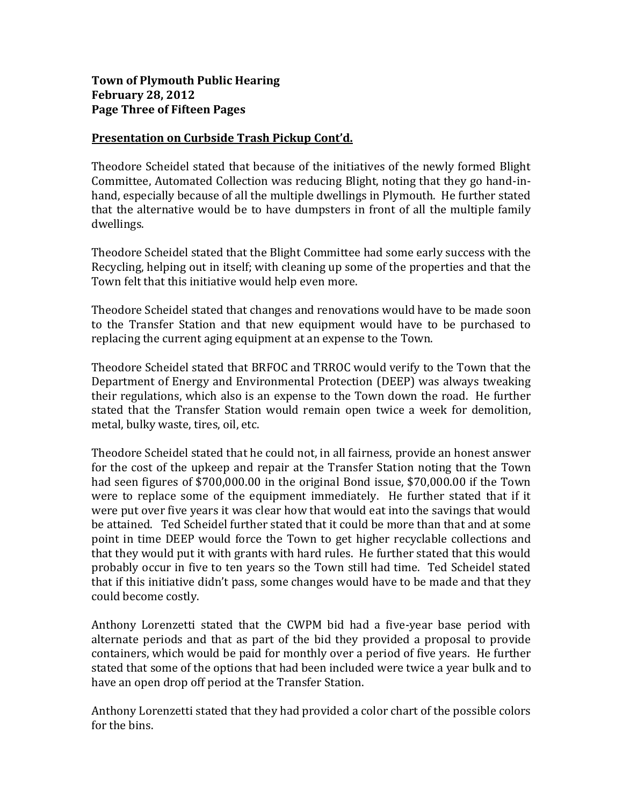# **Town of Plymouth Public Hearing February 28, 2012 Page Three of Fifteen Pages**

## **Presentation on Curbside Trash Pickup Cont'd.**

Theodore Scheidel stated that because of the initiatives of the newly formed Blight Committee, Automated Collection was reducing Blight, noting that they go hand-inhand, especially because of all the multiple dwellings in Plymouth. He further stated that the alternative would be to have dumpsters in front of all the multiple family dwellings.

Theodore Scheidel stated that the Blight Committee had some early success with the Recycling, helping out in itself; with cleaning up some of the properties and that the Town felt that this initiative would help even more.

Theodore Scheidel stated that changes and renovations would have to be made soon to the Transfer Station and that new equipment would have to be purchased to replacing the current aging equipment at an expense to the Town.

Theodore Scheidel stated that BRFOC and TRROC would verify to the Town that the Department of Energy and Environmental Protection (DEEP) was always tweaking their regulations, which also is an expense to the Town down the road. He further stated that the Transfer Station would remain open twice a week for demolition, metal, bulky waste, tires, oil, etc.

Theodore Scheidel stated that he could not, in all fairness, provide an honest answer for the cost of the upkeep and repair at the Transfer Station noting that the Town had seen figures of \$700,000.00 in the original Bond issue, \$70,000.00 if the Town were to replace some of the equipment immediately. He further stated that if it were put over five years it was clear how that would eat into the savings that would be attained. Ted Scheidel further stated that it could be more than that and at some point in time DEEP would force the Town to get higher recyclable collections and that they would put it with grants with hard rules. He further stated that this would probably occur in five to ten years so the Town still had time. Ted Scheidel stated that if this initiative didn't pass, some changes would have to be made and that they could become costly.

Anthony Lorenzetti stated that the CWPM bid had a five-year base period with alternate periods and that as part of the bid they provided a proposal to provide containers, which would be paid for monthly over a period of five years. He further stated that some of the options that had been included were twice a year bulk and to have an open drop off period at the Transfer Station.

Anthony Lorenzetti stated that they had provided a color chart of the possible colors for the bins.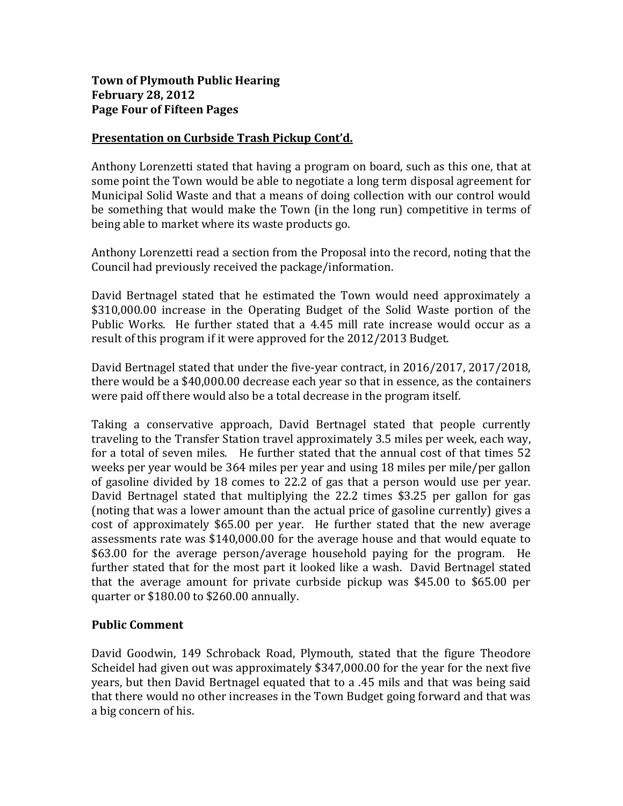# **Town of Plymouth Public Hearing February 28, 2012 Page Four of Fifteen Pages**

# **Presentation on Curbside Trash Pickup Cont'd.**

Anthony Lorenzetti stated that having a program on board, such as this one, that at some point the Town would be able to negotiate a long term disposal agreement for Municipal Solid Waste and that a means of doing collection with our control would be something that would make the Town (in the long run) competitive in terms of being able to market where its waste products go.

Anthony Lorenzetti read a section from the Proposal into the record, noting that the Council had previously received the package/information.

David Bertnagel stated that he estimated the Town would need approximately a \$310,000.00 increase in the Operating Budget of the Solid Waste portion of the Public Works. He further stated that a 4.45 mill rate increase would occur as a result of this program if it were approved for the 2012/2013 Budget.

David Bertnagel stated that under the five-year contract, in 2016/2017, 2017/2018, there would be a \$40,000.00 decrease each year so that in essence, as the containers were paid off there would also be a total decrease in the program itself.

Taking a conservative approach, David Bertnagel stated that people currently traveling to the Transfer Station travel approximately 3.5 miles per week, each way, for a total of seven miles. He further stated that the annual cost of that times 52 weeks per year would be 364 miles per year and using 18 miles per mile/per gallon of gasoline divided by 18 comes to 22.2 of gas that a person would use per year. David Bertnagel stated that multiplying the 22.2 times \$3.25 per gallon for gas (noting that was a lower amount than the actual price of gasoline currently) gives a cost of approximately \$65.00 per year. He further stated that the new average assessments rate was \$140,000.00 for the average house and that would equate to \$63.00 for the average person/average household paying for the program. He further stated that for the most part it looked like a wash. David Bertnagel stated that the average amount for private curbside pickup was \$45.00 to \$65.00 per quarter or \$180.00 to \$260.00 annually.

# **Public Comment**

David Goodwin, 149 Schroback Road, Plymouth, stated that the figure Theodore Scheidel had given out was approximately \$347,000.00 for the year for the next five years, but then David Bertnagel equated that to a .45 mils and that was being said that there would no other increases in the Town Budget going forward and that was a big concern of his.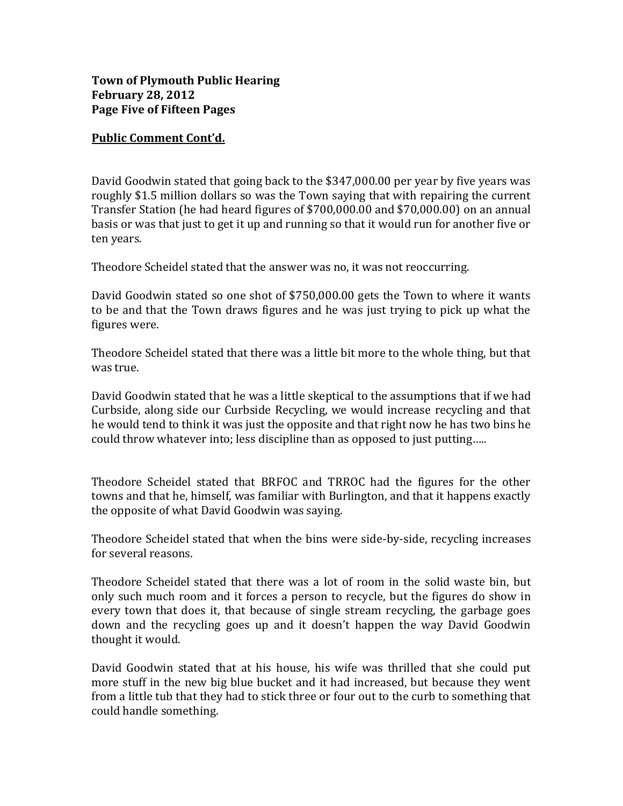# **Town of Plymouth Public Hearing February 28, 2012 Page Five of Fifteen Pages**

## **Public Comment Cont'd.**

David Goodwin stated that going back to the \$347,000.00 per year by five years was roughly \$1.5 million dollars so was the Town saying that with repairing the current Transfer Station (he had heard figures of \$700,000.00 and \$70,000.00) on an annual basis or was that just to get it up and running so that it would run for another five or ten years.

Theodore Scheidel stated that the answer was no, it was not reoccurring.

David Goodwin stated so one shot of \$750,000.00 gets the Town to where it wants to be and that the Town draws figures and he was just trying to pick up what the figures were.

Theodore Scheidel stated that there was a little bit more to the whole thing, but that was true.

David Goodwin stated that he was a little skeptical to the assumptions that if we had Curbside, along side our Curbside Recycling, we would increase recycling and that he would tend to think it was just the opposite and that right now he has two bins he could throw whatever into; less discipline than as opposed to just putting…..

Theodore Scheidel stated that BRFOC and TRROC had the figures for the other towns and that he, himself, was familiar with Burlington, and that it happens exactly the opposite of what David Goodwin was saying.

Theodore Scheidel stated that when the bins were side-by-side, recycling increases for several reasons.

Theodore Scheidel stated that there was a lot of room in the solid waste bin, but only such much room and it forces a person to recycle, but the figures do show in every town that does it, that because of single stream recycling, the garbage goes down and the recycling goes up and it doesn't happen the way David Goodwin thought it would.

David Goodwin stated that at his house, his wife was thrilled that she could put more stuff in the new big blue bucket and it had increased, but because they went from a little tub that they had to stick three or four out to the curb to something that could handle something.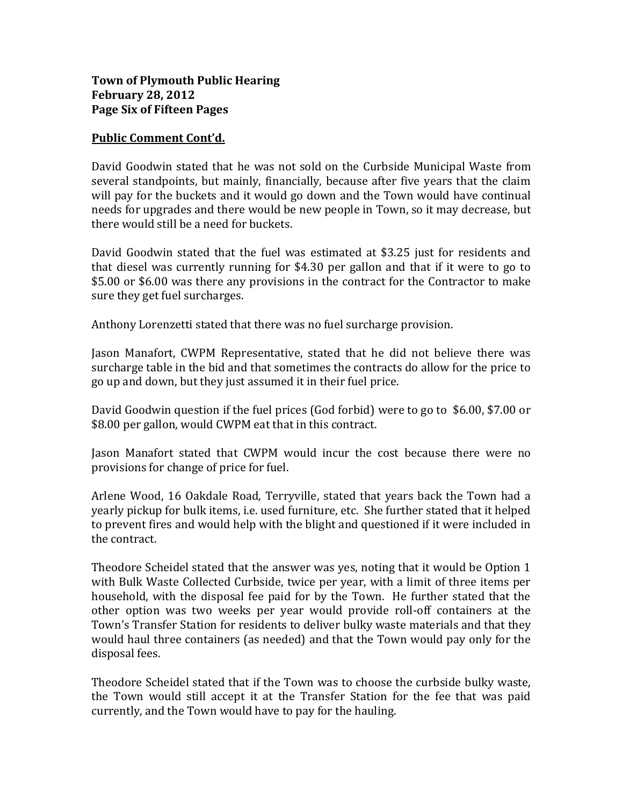# **Town of Plymouth Public Hearing February 28, 2012 Page Six of Fifteen Pages**

## **Public Comment Cont'd.**

David Goodwin stated that he was not sold on the Curbside Municipal Waste from several standpoints, but mainly, financially, because after five years that the claim will pay for the buckets and it would go down and the Town would have continual needs for upgrades and there would be new people in Town, so it may decrease, but there would still be a need for buckets.

David Goodwin stated that the fuel was estimated at \$3.25 just for residents and that diesel was currently running for \$4.30 per gallon and that if it were to go to \$5.00 or \$6.00 was there any provisions in the contract for the Contractor to make sure they get fuel surcharges.

Anthony Lorenzetti stated that there was no fuel surcharge provision.

Jason Manafort, CWPM Representative, stated that he did not believe there was surcharge table in the bid and that sometimes the contracts do allow for the price to go up and down, but they just assumed it in their fuel price.

David Goodwin question if the fuel prices (God forbid) were to go to \$6.00, \$7.00 or \$8.00 per gallon, would CWPM eat that in this contract.

Jason Manafort stated that CWPM would incur the cost because there were no provisions for change of price for fuel.

Arlene Wood, 16 Oakdale Road, Terryville, stated that years back the Town had a yearly pickup for bulk items, i.e. used furniture, etc. She further stated that it helped to prevent fires and would help with the blight and questioned if it were included in the contract.

Theodore Scheidel stated that the answer was yes, noting that it would be Option 1 with Bulk Waste Collected Curbside, twice per year, with a limit of three items per household, with the disposal fee paid for by the Town. He further stated that the other option was two weeks per year would provide roll-off containers at the Town's Transfer Station for residents to deliver bulky waste materials and that they would haul three containers (as needed) and that the Town would pay only for the disposal fees.

Theodore Scheidel stated that if the Town was to choose the curbside bulky waste, the Town would still accept it at the Transfer Station for the fee that was paid currently, and the Town would have to pay for the hauling.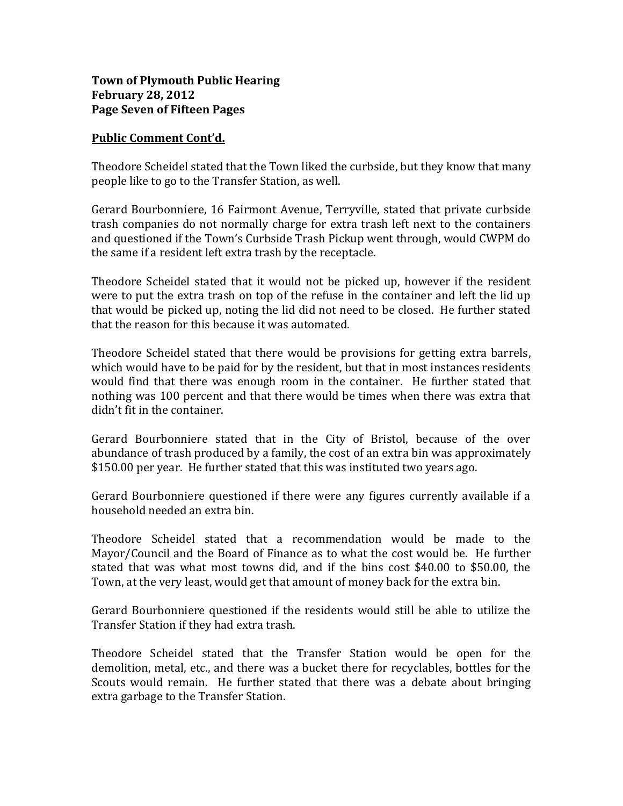# **Town of Plymouth Public Hearing February 28, 2012 Page Seven of Fifteen Pages**

#### **Public Comment Cont'd.**

Theodore Scheidel stated that the Town liked the curbside, but they know that many people like to go to the Transfer Station, as well.

Gerard Bourbonniere, 16 Fairmont Avenue, Terryville, stated that private curbside trash companies do not normally charge for extra trash left next to the containers and questioned if the Town's Curbside Trash Pickup went through, would CWPM do the same if a resident left extra trash by the receptacle.

Theodore Scheidel stated that it would not be picked up, however if the resident were to put the extra trash on top of the refuse in the container and left the lid up that would be picked up, noting the lid did not need to be closed. He further stated that the reason for this because it was automated.

Theodore Scheidel stated that there would be provisions for getting extra barrels, which would have to be paid for by the resident, but that in most instances residents would find that there was enough room in the container. He further stated that nothing was 100 percent and that there would be times when there was extra that didn't fit in the container.

Gerard Bourbonniere stated that in the City of Bristol, because of the over abundance of trash produced by a family, the cost of an extra bin was approximately \$150.00 per year. He further stated that this was instituted two years ago.

Gerard Bourbonniere questioned if there were any figures currently available if a household needed an extra bin.

Theodore Scheidel stated that a recommendation would be made to the Mayor/Council and the Board of Finance as to what the cost would be. He further stated that was what most towns did, and if the bins cost \$40.00 to \$50.00, the Town, at the very least, would get that amount of money back for the extra bin.

Gerard Bourbonniere questioned if the residents would still be able to utilize the Transfer Station if they had extra trash.

Theodore Scheidel stated that the Transfer Station would be open for the demolition, metal, etc., and there was a bucket there for recyclables, bottles for the Scouts would remain. He further stated that there was a debate about bringing extra garbage to the Transfer Station.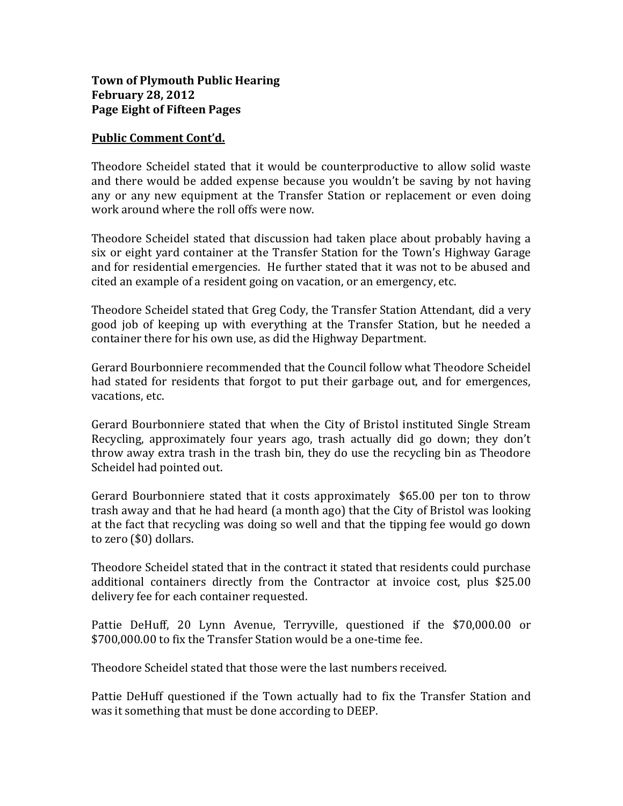# **Town of Plymouth Public Hearing February 28, 2012 Page Eight of Fifteen Pages**

## **Public Comment Cont'd.**

Theodore Scheidel stated that it would be counterproductive to allow solid waste and there would be added expense because you wouldn't be saving by not having any or any new equipment at the Transfer Station or replacement or even doing work around where the roll offs were now.

Theodore Scheidel stated that discussion had taken place about probably having a six or eight yard container at the Transfer Station for the Town's Highway Garage and for residential emergencies. He further stated that it was not to be abused and cited an example of a resident going on vacation, or an emergency, etc.

Theodore Scheidel stated that Greg Cody, the Transfer Station Attendant, did a very good job of keeping up with everything at the Transfer Station, but he needed a container there for his own use, as did the Highway Department.

Gerard Bourbonniere recommended that the Council follow what Theodore Scheidel had stated for residents that forgot to put their garbage out, and for emergences, vacations, etc.

Gerard Bourbonniere stated that when the City of Bristol instituted Single Stream Recycling, approximately four years ago, trash actually did go down; they don't throw away extra trash in the trash bin, they do use the recycling bin as Theodore Scheidel had pointed out.

Gerard Bourbonniere stated that it costs approximately \$65.00 per ton to throw trash away and that he had heard (a month ago) that the City of Bristol was looking at the fact that recycling was doing so well and that the tipping fee would go down to zero (\$0) dollars.

Theodore Scheidel stated that in the contract it stated that residents could purchase additional containers directly from the Contractor at invoice cost, plus \$25.00 delivery fee for each container requested.

Pattie DeHuff, 20 Lynn Avenue, Terryville, questioned if the \$70,000.00 or \$700,000.00 to fix the Transfer Station would be a one-time fee.

Theodore Scheidel stated that those were the last numbers received.

Pattie DeHuff questioned if the Town actually had to fix the Transfer Station and was it something that must be done according to DEEP.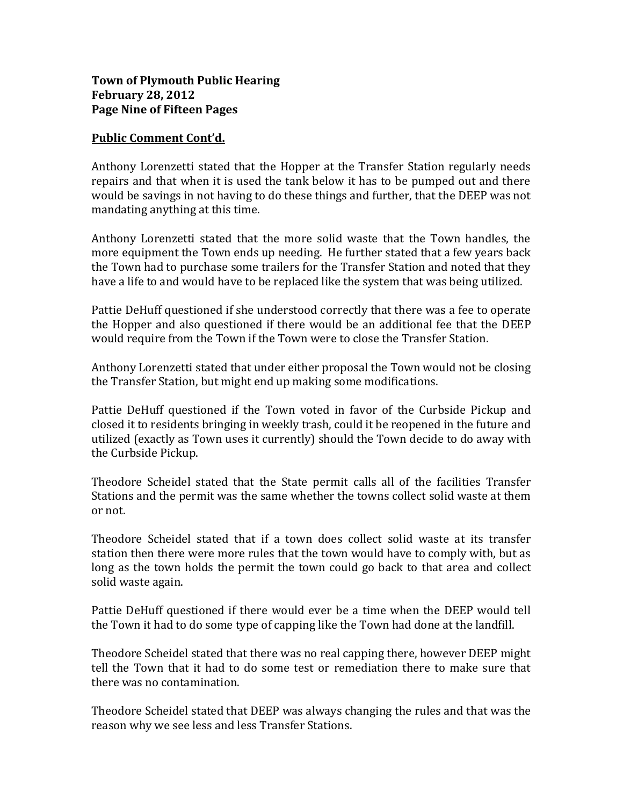# **Town of Plymouth Public Hearing February 28, 2012 Page Nine of Fifteen Pages**

#### **Public Comment Cont'd.**

Anthony Lorenzetti stated that the Hopper at the Transfer Station regularly needs repairs and that when it is used the tank below it has to be pumped out and there would be savings in not having to do these things and further, that the DEEP was not mandating anything at this time.

Anthony Lorenzetti stated that the more solid waste that the Town handles, the more equipment the Town ends up needing. He further stated that a few years back the Town had to purchase some trailers for the Transfer Station and noted that they have a life to and would have to be replaced like the system that was being utilized.

Pattie DeHuff questioned if she understood correctly that there was a fee to operate the Hopper and also questioned if there would be an additional fee that the DEEP would require from the Town if the Town were to close the Transfer Station.

Anthony Lorenzetti stated that under either proposal the Town would not be closing the Transfer Station, but might end up making some modifications.

Pattie DeHuff questioned if the Town voted in favor of the Curbside Pickup and closed it to residents bringing in weekly trash, could it be reopened in the future and utilized (exactly as Town uses it currently) should the Town decide to do away with the Curbside Pickup.

Theodore Scheidel stated that the State permit calls all of the facilities Transfer Stations and the permit was the same whether the towns collect solid waste at them or not.

Theodore Scheidel stated that if a town does collect solid waste at its transfer station then there were more rules that the town would have to comply with, but as long as the town holds the permit the town could go back to that area and collect solid waste again.

Pattie DeHuff questioned if there would ever be a time when the DEEP would tell the Town it had to do some type of capping like the Town had done at the landfill.

Theodore Scheidel stated that there was no real capping there, however DEEP might tell the Town that it had to do some test or remediation there to make sure that there was no contamination.

Theodore Scheidel stated that DEEP was always changing the rules and that was the reason why we see less and less Transfer Stations.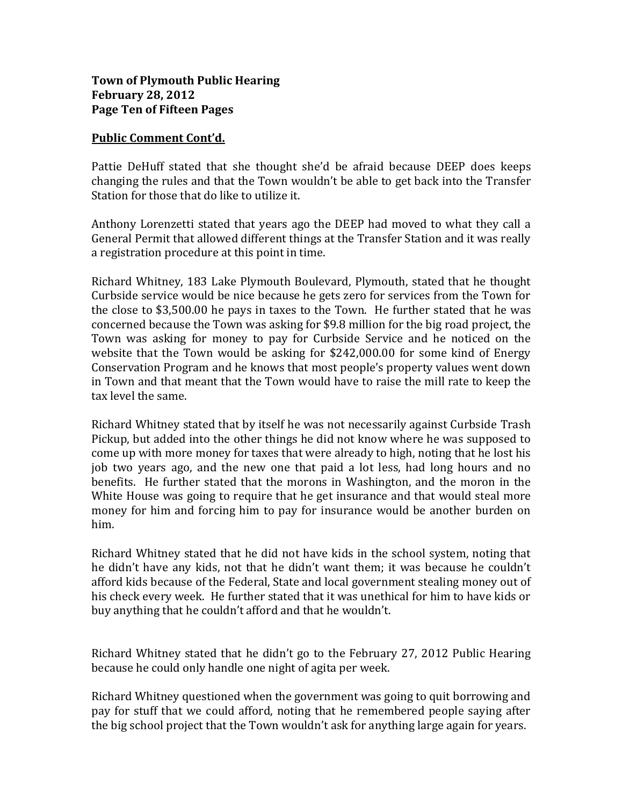# **Town of Plymouth Public Hearing February 28, 2012 Page Ten of Fifteen Pages**

#### **Public Comment Cont'd.**

Pattie DeHuff stated that she thought she'd be afraid because DEEP does keeps changing the rules and that the Town wouldn't be able to get back into the Transfer Station for those that do like to utilize it.

Anthony Lorenzetti stated that years ago the DEEP had moved to what they call a General Permit that allowed different things at the Transfer Station and it was really a registration procedure at this point in time.

Richard Whitney, 183 Lake Plymouth Boulevard, Plymouth, stated that he thought Curbside service would be nice because he gets zero for services from the Town for the close to \$3,500.00 he pays in taxes to the Town. He further stated that he was concerned because the Town was asking for \$9.8 million for the big road project, the Town was asking for money to pay for Curbside Service and he noticed on the website that the Town would be asking for \$242,000.00 for some kind of Energy Conservation Program and he knows that most people's property values went down in Town and that meant that the Town would have to raise the mill rate to keep the tax level the same.

Richard Whitney stated that by itself he was not necessarily against Curbside Trash Pickup, but added into the other things he did not know where he was supposed to come up with more money for taxes that were already to high, noting that he lost his job two years ago, and the new one that paid a lot less, had long hours and no benefits. He further stated that the morons in Washington, and the moron in the White House was going to require that he get insurance and that would steal more money for him and forcing him to pay for insurance would be another burden on him.

Richard Whitney stated that he did not have kids in the school system, noting that he didn't have any kids, not that he didn't want them; it was because he couldn't afford kids because of the Federal, State and local government stealing money out of his check every week. He further stated that it was unethical for him to have kids or buy anything that he couldn't afford and that he wouldn't.

Richard Whitney stated that he didn't go to the February 27, 2012 Public Hearing because he could only handle one night of agita per week.

Richard Whitney questioned when the government was going to quit borrowing and pay for stuff that we could afford, noting that he remembered people saying after the big school project that the Town wouldn't ask for anything large again for years.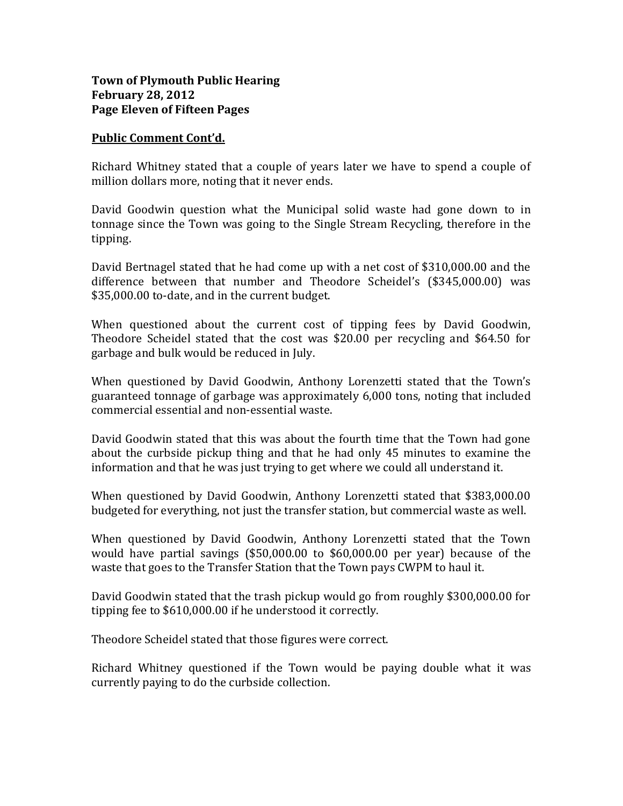# **Town of Plymouth Public Hearing February 28, 2012 Page Eleven of Fifteen Pages**

#### **Public Comment Cont'd.**

Richard Whitney stated that a couple of years later we have to spend a couple of million dollars more, noting that it never ends.

David Goodwin question what the Municipal solid waste had gone down to in tonnage since the Town was going to the Single Stream Recycling, therefore in the tipping.

David Bertnagel stated that he had come up with a net cost of \$310,000.00 and the difference between that number and Theodore Scheidel's (\$345,000.00) was \$35,000.00 to-date, and in the current budget.

When questioned about the current cost of tipping fees by David Goodwin, Theodore Scheidel stated that the cost was \$20.00 per recycling and \$64.50 for garbage and bulk would be reduced in July.

When questioned by David Goodwin, Anthony Lorenzetti stated that the Town's guaranteed tonnage of garbage was approximately 6,000 tons, noting that included commercial essential and non-essential waste.

David Goodwin stated that this was about the fourth time that the Town had gone about the curbside pickup thing and that he had only 45 minutes to examine the information and that he was just trying to get where we could all understand it.

When questioned by David Goodwin, Anthony Lorenzetti stated that \$383,000.00 budgeted for everything, not just the transfer station, but commercial waste as well.

When questioned by David Goodwin, Anthony Lorenzetti stated that the Town would have partial savings (\$50,000.00 to \$60,000.00 per year) because of the waste that goes to the Transfer Station that the Town pays CWPM to haul it.

David Goodwin stated that the trash pickup would go from roughly \$300,000.00 for tipping fee to \$610,000.00 if he understood it correctly.

Theodore Scheidel stated that those figures were correct.

Richard Whitney questioned if the Town would be paying double what it was currently paying to do the curbside collection.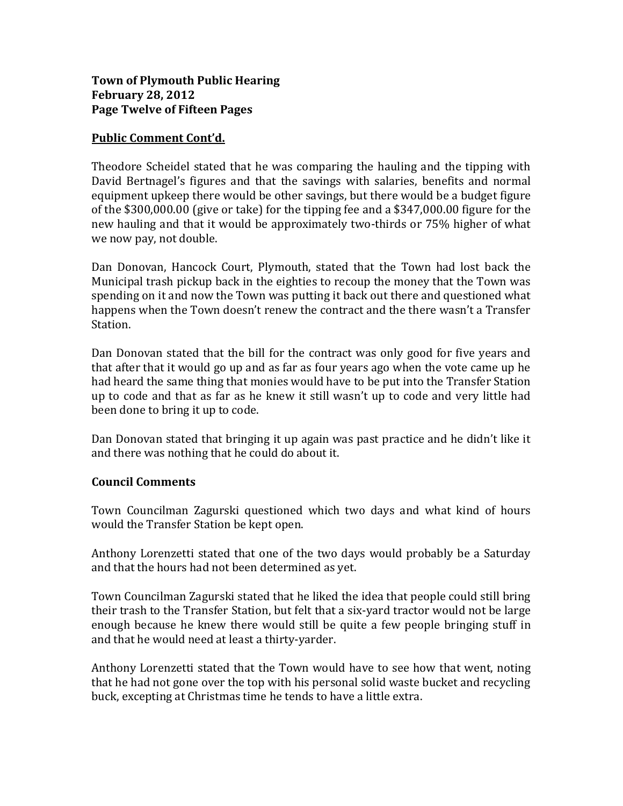# **Town of Plymouth Public Hearing February 28, 2012 Page Twelve of Fifteen Pages**

## **Public Comment Cont'd.**

Theodore Scheidel stated that he was comparing the hauling and the tipping with David Bertnagel's figures and that the savings with salaries, benefits and normal equipment upkeep there would be other savings, but there would be a budget figure of the \$300,000.00 (give or take) for the tipping fee and a \$347,000.00 figure for the new hauling and that it would be approximately two-thirds or 75% higher of what we now pay, not double.

Dan Donovan, Hancock Court, Plymouth, stated that the Town had lost back the Municipal trash pickup back in the eighties to recoup the money that the Town was spending on it and now the Town was putting it back out there and questioned what happens when the Town doesn't renew the contract and the there wasn't a Transfer Station.

Dan Donovan stated that the bill for the contract was only good for five years and that after that it would go up and as far as four years ago when the vote came up he had heard the same thing that monies would have to be put into the Transfer Station up to code and that as far as he knew it still wasn't up to code and very little had been done to bring it up to code.

Dan Donovan stated that bringing it up again was past practice and he didn't like it and there was nothing that he could do about it.

# **Council Comments**

Town Councilman Zagurski questioned which two days and what kind of hours would the Transfer Station be kept open.

Anthony Lorenzetti stated that one of the two days would probably be a Saturday and that the hours had not been determined as yet.

Town Councilman Zagurski stated that he liked the idea that people could still bring their trash to the Transfer Station, but felt that a six-yard tractor would not be large enough because he knew there would still be quite a few people bringing stuff in and that he would need at least a thirty-yarder.

Anthony Lorenzetti stated that the Town would have to see how that went, noting that he had not gone over the top with his personal solid waste bucket and recycling buck, excepting at Christmas time he tends to have a little extra.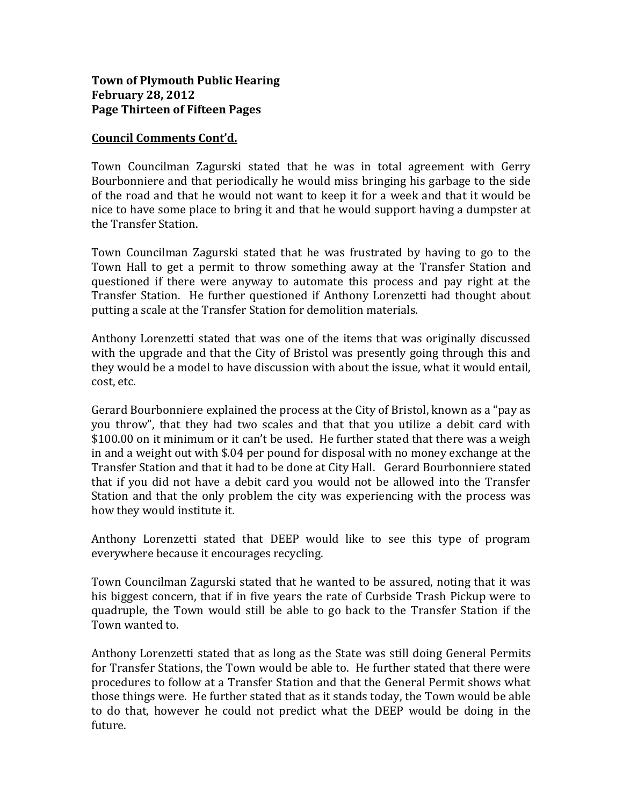## **Council Comments Cont'd.**

Town Councilman Zagurski stated that he was in total agreement with Gerry Bourbonniere and that periodically he would miss bringing his garbage to the side of the road and that he would not want to keep it for a week and that it would be nice to have some place to bring it and that he would support having a dumpster at the Transfer Station.

Town Councilman Zagurski stated that he was frustrated by having to go to the Town Hall to get a permit to throw something away at the Transfer Station and questioned if there were anyway to automate this process and pay right at the Transfer Station. He further questioned if Anthony Lorenzetti had thought about putting a scale at the Transfer Station for demolition materials.

Anthony Lorenzetti stated that was one of the items that was originally discussed with the upgrade and that the City of Bristol was presently going through this and they would be a model to have discussion with about the issue, what it would entail, cost, etc.

Gerard Bourbonniere explained the process at the City of Bristol, known as a "pay as you throw", that they had two scales and that that you utilize a debit card with \$100.00 on it minimum or it can't be used. He further stated that there was a weigh in and a weight out with \$.04 per pound for disposal with no money exchange at the Transfer Station and that it had to be done at City Hall. Gerard Bourbonniere stated that if you did not have a debit card you would not be allowed into the Transfer Station and that the only problem the city was experiencing with the process was how they would institute it.

Anthony Lorenzetti stated that DEEP would like to see this type of program everywhere because it encourages recycling.

Town Councilman Zagurski stated that he wanted to be assured, noting that it was his biggest concern, that if in five years the rate of Curbside Trash Pickup were to quadruple, the Town would still be able to go back to the Transfer Station if the Town wanted to.

Anthony Lorenzetti stated that as long as the State was still doing General Permits for Transfer Stations, the Town would be able to. He further stated that there were procedures to follow at a Transfer Station and that the General Permit shows what those things were. He further stated that as it stands today, the Town would be able to do that, however he could not predict what the DEEP would be doing in the future.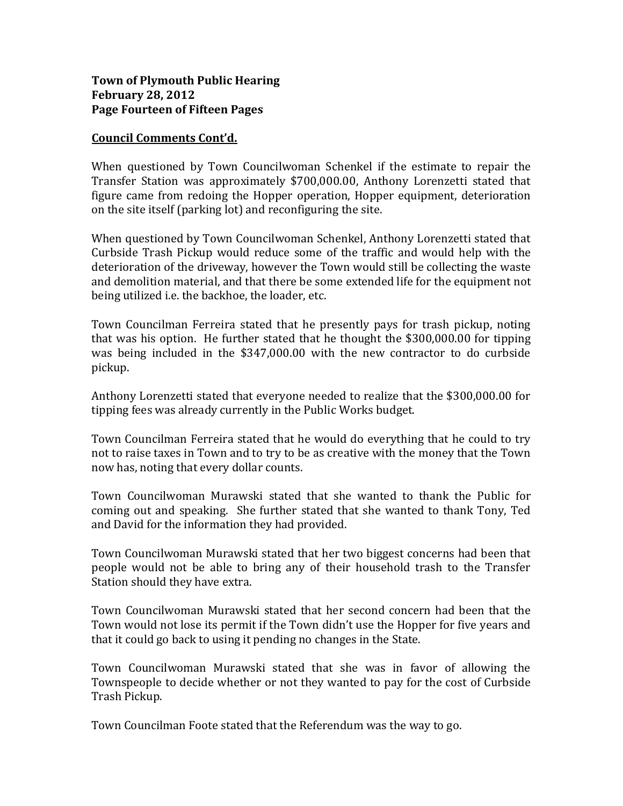## **Town of Plymouth Public Hearing February 28, 2012 Page Fourteen of Fifteen Pages**

## **Council Comments Cont'd.**

When questioned by Town Councilwoman Schenkel if the estimate to repair the Transfer Station was approximately \$700,000.00, Anthony Lorenzetti stated that figure came from redoing the Hopper operation, Hopper equipment, deterioration on the site itself (parking lot) and reconfiguring the site.

When questioned by Town Councilwoman Schenkel, Anthony Lorenzetti stated that Curbside Trash Pickup would reduce some of the traffic and would help with the deterioration of the driveway, however the Town would still be collecting the waste and demolition material, and that there be some extended life for the equipment not being utilized i.e. the backhoe, the loader, etc.

Town Councilman Ferreira stated that he presently pays for trash pickup, noting that was his option. He further stated that he thought the \$300,000.00 for tipping was being included in the \$347,000.00 with the new contractor to do curbside pickup.

Anthony Lorenzetti stated that everyone needed to realize that the \$300,000.00 for tipping fees was already currently in the Public Works budget.

Town Councilman Ferreira stated that he would do everything that he could to try not to raise taxes in Town and to try to be as creative with the money that the Town now has, noting that every dollar counts.

Town Councilwoman Murawski stated that she wanted to thank the Public for coming out and speaking. She further stated that she wanted to thank Tony, Ted and David for the information they had provided.

Town Councilwoman Murawski stated that her two biggest concerns had been that people would not be able to bring any of their household trash to the Transfer Station should they have extra.

Town Councilwoman Murawski stated that her second concern had been that the Town would not lose its permit if the Town didn't use the Hopper for five years and that it could go back to using it pending no changes in the State.

Town Councilwoman Murawski stated that she was in favor of allowing the Townspeople to decide whether or not they wanted to pay for the cost of Curbside Trash Pickup.

Town Councilman Foote stated that the Referendum was the way to go.